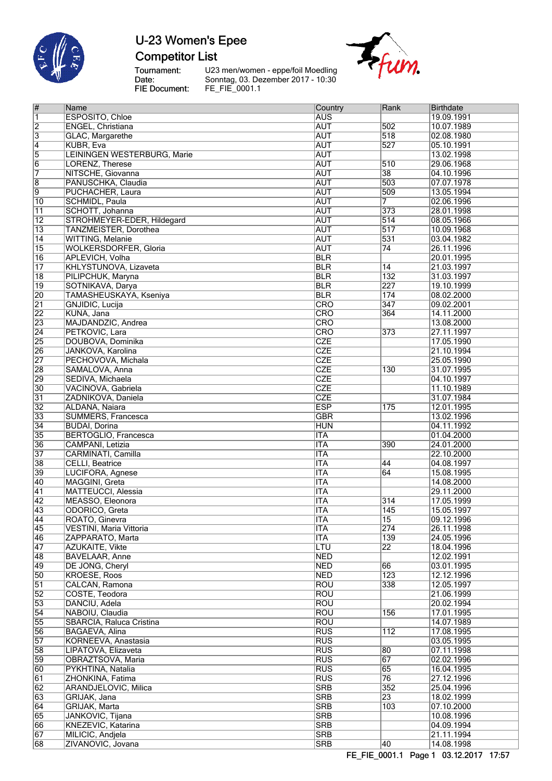

## U-23 Women's Epee **Competitor List**

Tournament:<br>Date:<br>FIE Document:

U23 men/women - eppe/foil Moedling Sonntag, 03. Dezember 2017 - 10:30 FE\_FIE\_0001.1



| $\overline{\#}$                  | Name                                           |                         |                  |                                |
|----------------------------------|------------------------------------------------|-------------------------|------------------|--------------------------------|
| $\overline{1}$                   | ESPOSITO, Chloe                                | Country<br><b>AUS</b>   | Rank             | <b>Birthdate</b><br>19.09.1991 |
|                                  | ENGEL, Christiana                              | <b>AUT</b>              | 502              | 10.07.1989                     |
| $\overline{2}$<br>$\overline{3}$ | GLAC, Margarethe                               | <b>AUT</b>              | 518              | 02.08.1980                     |
| $\overline{4}$                   |                                                |                         | 527              |                                |
|                                  | KUBR, Eva                                      | <b>AUT</b>              |                  | 05.10.1991                     |
| 5                                | LEININGEN WESTERBURG, Marie<br>LORENZ, Therese | <b>AUT</b>              |                  | 13.02.1998                     |
| $\overline{6}$                   |                                                | <b>AUT</b>              | 510              | 29.06.1968                     |
| $\overline{7}$                   | NITSCHE, Giovanna                              | <b>AUT</b>              | $\overline{38}$  | 04.10.1996                     |
| $\overline{8}$                   | PANUSCHKA, Claudia                             | <b>AUT</b>              | 503              | 07.07.1978                     |
| 9                                | PUCHACHER, Laura                               | <b>AUT</b>              | 509              | 13.05.1994                     |
| 10                               | SCHMIDL, Paula                                 | <b>AUT</b>              | 7                | 02.06.1996                     |
| $\overline{11}$                  | SCHOTT, Johanna                                | <b>AUT</b>              | 373              | 28.01.1998                     |
| $\overline{12}$                  | STROHMEYER-EDER, Hildegard                     | <b>AUT</b>              | 514              | 08.05.1966                     |
| $\overline{13}$                  | TANZMEISTER, Dorothea                          | <b>AUT</b>              | 517              | 10.09.1968                     |
| $\overline{14}$                  | WITTING, Melanie                               | <b>AUT</b>              | 531              | 03.04.1982                     |
| $\overline{15}$                  | <b>WOLKERSDORFER, Gloria</b>                   | <b>AUT</b>              | $\overline{74}$  | 26.11.1996                     |
| $\overline{16}$                  | <b>APLEVICH, Volha</b>                         | <b>BLR</b>              |                  | 20.01.1995                     |
| $\overline{17}$                  | KHLYSTUNOVA, Lizaveta                          | <b>BLR</b>              | 14               | 21.03.1997                     |
| $\overline{18}$                  | PILIPCHUK, Maryna                              | <b>BLR</b>              | $\overline{132}$ | 31.03.1997                     |
| $\overline{19}$                  | SOTNIKAVA, Darya                               | <b>BLR</b>              | 227              | 19.10.1999                     |
| 20                               | TAMASHEUSKAYA, Kseniya                         | <b>BLR</b>              | 174              | 08.02.2000                     |
| $\overline{21}$                  | GNJIDIC, Lucija                                | <b>CRO</b>              | 347              | 09.02.2001                     |
| $\overline{22}$                  | KUNA, Jana                                     | <b>CRO</b>              | 364              | 14.11.2000                     |
| 23                               | MAJDANDZIC, Andrea                             | <b>CRO</b>              |                  | 13.08.2000                     |
| $\overline{24}$                  | PETKOVIC, Lara                                 | CRO                     | 373              | 27.11.1997                     |
| 25                               | DOUBOVA, Dominika                              | <b>CZE</b>              |                  | 17.05.1990                     |
| 26                               | JANKOVA, Karolina                              | <b>CZE</b>              |                  | 21.10.1994                     |
| $\overline{27}$                  | PECHOVOVA, Michala                             | <b>CZE</b>              |                  | 25.05.1990                     |
| 28                               | SAMALOVA, Anna                                 | <b>CZE</b>              | 130              | 31.07.1995                     |
| 29                               | SEDIVA, Michaela                               | <b>CZE</b>              |                  | 04.10.1997                     |
| 30                               | VACINOVA, Gabriela                             | <b>CZE</b>              |                  | 11.10.1989                     |
| $\overline{31}$                  | ZADNIKOVA, Daniela                             | <b>CZE</b>              |                  | 31.07.1984                     |
| $\overline{32}$                  | ALDANA, Naiara                                 | <b>ESP</b>              | 175              | 12.01.1995                     |
| 33                               | <b>SUMMERS, Francesca</b>                      | <b>GBR</b>              |                  | 13.02.1996                     |
| $\overline{34}$                  | <b>BUDAI</b> , Dorina                          | <b>HUN</b>              |                  | 04.11.1992                     |
| 35                               | <b>BERTOGLIO, Francesca</b>                    | $\overline{\text{ITA}}$ |                  | 01.04.2000                     |
| 36                               | CAMPANI, Letizia                               | <b>ITA</b>              | 390              | 24.01.2000                     |
| 37                               | CARMINATI, Camilla                             | <b>ITA</b>              |                  | 22.10.2000                     |
| 38                               | <b>CELLI, Beatrice</b>                         | <b>ITA</b>              | 44               | 04.08.1997                     |
| 39                               | LUCIFORA, Agnese                               | <b>ITA</b>              | $\overline{64}$  | 15.08.1995                     |
| 40                               | MAGGINI, Greta                                 | <b>ITA</b>              |                  | 14.08.2000                     |
| $\overline{41}$                  | <b>MATTEUCCI, Alessia</b>                      | <b>ITA</b>              |                  | 29.11.2000                     |
| 42                               | MEASSO, Eleonora                               | <b>ITA</b>              | 314              | 17.05.1999                     |
| 43                               | <b>ODORICO, Greta</b>                          | <b>ITA</b>              | $\overline{145}$ | 15.05.1997                     |
| $\sqrt{44}$                      | ROATO, Ginevra                                 | ITA                     | 15               | 09.12.1996                     |
| 45                               | VESTINI, Maria Vittoria                        | ITA                     | 274              | 26.11.1998                     |
| $\overline{46}$                  | ZAPPARATO, Marta                               | <b>ITA</b>              | 139              | 24.05.1996                     |
| 47                               | <b>AZUKAITE, Vikte</b>                         | LTU                     | 22               | 18.04.1996                     |
| 48                               | <b>BAVELAAR, Anne</b>                          | <b>NED</b>              |                  | 12.02.1991                     |
| 49                               | DE JONG, Cheryl                                | <b>NED</b>              | 66               | 03.01.1995                     |
| 50                               | <b>KROESE, Roos</b>                            | <b>NED</b>              | 123              | 12.12.1996                     |
| $\overline{51}$                  | CALCAN, Ramona                                 | <b>ROU</b>              | 338              | 12.05.1997                     |
| $\overline{52}$                  | COSTE, Teodora                                 | <b>ROU</b>              |                  | 21.06.1999                     |
| 53                               | DANCIU, Adela                                  | <b>ROU</b>              |                  | 20.02.1994                     |
| $\overline{54}$                  | NABOIU, Claudia                                | <b>ROU</b>              | 156              | 17.01.1995                     |
| 55                               | SBARCIA, Raluca Cristina                       | <b>ROU</b>              |                  | 14.07.1989                     |
| 56                               | BAGAEVA, Alina                                 | <b>RUS</b>              | 112              | 17.08.1995                     |
| 57                               | KORNEEVA, Anastasia                            | <b>RUS</b>              |                  | 03.05.1995                     |
| 58                               | LIPATOVA, Elizaveta                            | RUS                     | 80               | 07.11.1998                     |
| 59                               | OBRAZTSOVA, Maria                              | <b>RUS</b>              | $\overline{67}$  | 02.02.1996                     |
| 60                               | PYKHTINA, Natalia                              | <b>RUS</b>              | 65               | 16.04.1995                     |
| $\overline{61}$                  | ZHONKINA, Fatima                               | <b>RUS</b>              | $\overline{76}$  | 27.12.1996                     |
| $\overline{62}$                  | <b>ARANDJELOVIC, Milica</b>                    | <b>SRB</b>              | $\overline{352}$ | 25.04.1996                     |
| 63                               | GRIJAK, Jana                                   | <b>SRB</b>              | $\overline{23}$  | 18.02.1999                     |
| $\overline{64}$                  | GRIJAK, Marta                                  | <b>SRB</b>              | 103              | 07.10.2000                     |
| 65                               | JANKOVIC, Tijana                               | <b>SRB</b>              |                  | 10.08.1996                     |
| 66                               | KNEZEVIC, Katarina                             | <b>SRB</b>              |                  | 04.09.1994                     |
| 67                               | MILICIC, Andjela                               | <b>SRB</b>              |                  | 21.11.1994                     |
| 68                               | ZIVANOVIC, Jovana                              | <b>SRB</b>              | 40               | 14.08.1998                     |
|                                  |                                                |                         |                  |                                |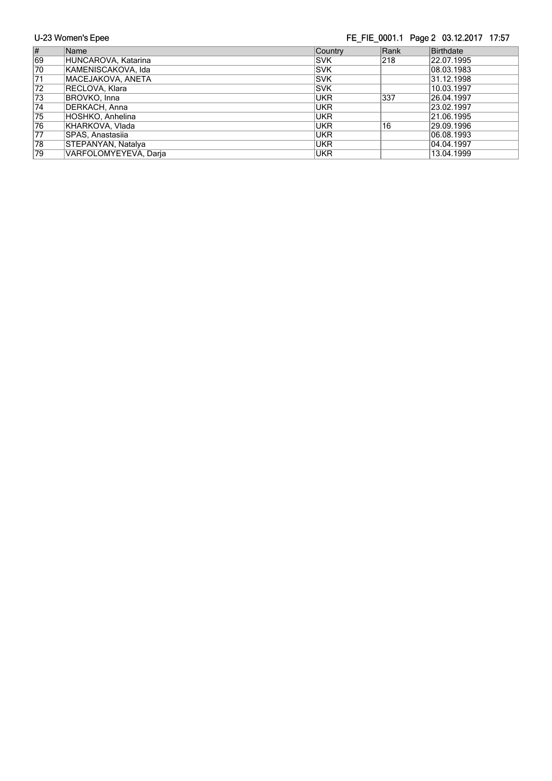|                 | U-23 Women's Epee     |            |      | FE_FIE_0001.1 Page 2 03.12.2017 17:57 |
|-----------------|-----------------------|------------|------|---------------------------------------|
| $\overline{\#}$ | Name                  | Country    | Rank | Birthdate                             |
| 69              | HUNCAROVA, Katarina   | <b>SVK</b> | 218  | 22.07.1995                            |
| 70              | KAMENISCAKOVA, Ida    | <b>SVK</b> |      | 08.03.1983                            |
| $\overline{71}$ | MACEJAKOVA, ANETA     | <b>SVK</b> |      | 31.12.1998                            |
| $\overline{72}$ | RECLOVA, Klara        | <b>SVK</b> |      | 10.03.1997                            |
| 73              | BROVKO, Inna          | <b>UKR</b> | 337  | 26.04.1997                            |
| $\sqrt{74}$     | DERKACH, Anna         | <b>UKR</b> |      | 23.02.1997                            |
| 75              | HOSHKO, Anhelina      | <b>UKR</b> |      | 21.06.1995                            |
| 76              | KHARKOVA, Vlada       | <b>UKR</b> | 16   | 29.09.1996                            |
| $\overline{77}$ | SPAS, Anastasiia      | <b>UKR</b> |      | 106.08.1993                           |
| 78              | STEPANYAN, Natalya    | <b>UKR</b> |      | 04.04.1997                            |
| 79              | VARFOLOMYEYEVA, Darja | <b>UKR</b> |      | 13.04.1999                            |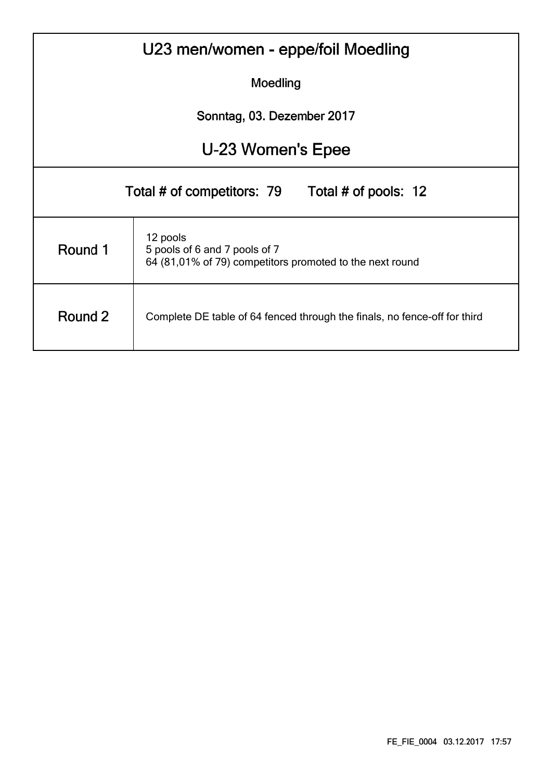| U23 men/women - eppe/foil Moedling                                                   |                                                                                                       |  |  |  |  |  |  |  |  |  |  |  |
|--------------------------------------------------------------------------------------|-------------------------------------------------------------------------------------------------------|--|--|--|--|--|--|--|--|--|--|--|
|                                                                                      | Moedling                                                                                              |  |  |  |  |  |  |  |  |  |  |  |
|                                                                                      | Sonntag, 03. Dezember 2017                                                                            |  |  |  |  |  |  |  |  |  |  |  |
| U-23 Women's Epee                                                                    |                                                                                                       |  |  |  |  |  |  |  |  |  |  |  |
| Total # of competitors: 79 Total # of pools: 12                                      |                                                                                                       |  |  |  |  |  |  |  |  |  |  |  |
| Round 1                                                                              | 12 pools<br>5 pools of 6 and 7 pools of 7<br>64 (81,01% of 79) competitors promoted to the next round |  |  |  |  |  |  |  |  |  |  |  |
| Round 2<br>Complete DE table of 64 fenced through the finals, no fence-off for third |                                                                                                       |  |  |  |  |  |  |  |  |  |  |  |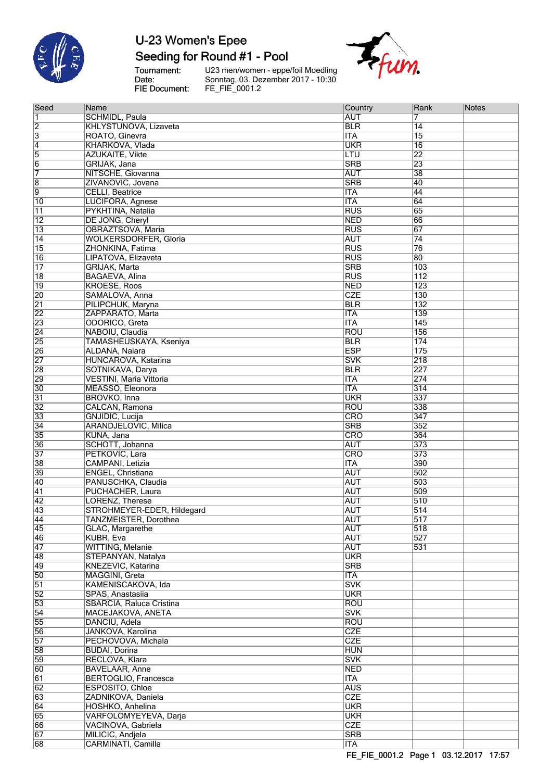

## Seeding for Round #1 - Pool

Tournament:<br>Date: FIE Document:

U23 men/women - eppe/foil Moedling<br>Sonntag, 03. Dezember 2017 - 10:30<br>FE\_FIE\_0001.2



| Seed            | Name                         | Country                   | Rank             | <b>Notes</b> |
|-----------------|------------------------------|---------------------------|------------------|--------------|
| 1               | SCHMIDL, Paula               | <b>AUT</b>                | 7                |              |
| 2               | KHLYSTUNOVA, Lizaveta        | <b>BLR</b>                | 14               |              |
| $\overline{3}$  | ROATO, Ginevra               | $\overline{\mathsf{ITA}}$ | $\overline{15}$  |              |
| 4               | KHARKOVA, Vlada              | <b>UKR</b>                | $\overline{16}$  |              |
| 5               | <b>AZUKAITE, Vikte</b>       | LTU                       | $\overline{22}$  |              |
| 6               | GRIJAK, Jana                 | <b>SRB</b>                | 23               |              |
| 7               | NITSCHE, Giovanna            | <b>AUT</b>                | 38               |              |
|                 |                              |                           |                  |              |
| 8               | ZIVANOVIC, Jovana            | <b>SRB</b>                | 40               |              |
| $\overline{9}$  | <b>CELLI</b> , Beatrice      | <b>ITA</b>                | 44               |              |
| 10              | LUCIFORA, Agnese             | <b>ITA</b>                | 64               |              |
| 11              | PYKHTINA, Natalia            | <b>RUS</b>                | 65               |              |
| $\overline{12}$ | DE JONG, Cheryl              | <b>NED</b>                | 66               |              |
| $\overline{13}$ | OBRAZTSOVA, Maria            | <b>RUS</b>                | 67               |              |
| 14              | <b>WOLKERSDORFER, Gloria</b> | <b>AUT</b>                | $\overline{74}$  |              |
| $\overline{15}$ | ZHONKINA, Fatima             | <b>RUS</b>                | $\overline{76}$  |              |
| 16              | LIPATOVA, Elizaveta          | <b>RUS</b>                | 80               |              |
| $\overline{17}$ | GRIJAK, Marta                | <b>SRB</b>                | 103              |              |
| $\overline{18}$ | BAGAEVA, Alina               | <b>RUS</b>                | $\overline{112}$ |              |
| $\overline{19}$ | <b>KROESE, Roos</b>          | <b>NED</b>                | 123              |              |
| 20              | SAMALOVA, Anna               | <b>CZE</b>                | 130              |              |
| $\overline{21}$ | PILIPCHUK, Maryna            | <b>BLR</b>                | 132              |              |
| $\overline{22}$ | ZAPPARATO, Marta             | ITA                       | 139              |              |
|                 |                              |                           |                  |              |
| $\overline{23}$ | ODORICO, Greta               | <b>ITA</b>                | $\overline{145}$ |              |
| $\overline{24}$ | NABOIU, Claudia              | <b>ROU</b>                | 156              |              |
| $\overline{25}$ | TAMASHEUSKAYA, Kseniya       | <b>BLR</b>                | 174              |              |
| 26              | ALDANA, Naiara               | <b>ESP</b>                | 175              |              |
| $\overline{27}$ | HUNCAROVA, Katarina          | <b>SVK</b>                | 218              |              |
| 28              | SOTNIKAVA, Darya             | <b>BLR</b>                | 227              |              |
| 29              | VESTINI, Maria Vittoria      | <b>ITA</b>                | 274              |              |
| $\overline{30}$ | MEASSO, Eleonora             | <b>ITA</b>                | 314              |              |
| $\overline{31}$ | BROVKO, Inna                 | <b>UKR</b>                | 337              |              |
| $\overline{32}$ | CALCAN, Ramona               | ROU                       | 338              |              |
| $\overline{33}$ | GNJIDIC, Lucija              | CRO                       | 347              |              |
| $\overline{34}$ | <b>ARANDJELOVIC, Milica</b>  | <b>SRB</b>                | 352              |              |
| 35              | KUNA, Jana                   | CRO                       | 364              |              |
| $\overline{36}$ | SCHOTT, Johanna              | <b>AUT</b>                | 373              |              |
| $\overline{37}$ | PETKOVIC, Lara               | <b>CRO</b>                | 373              |              |
|                 | CAMPANI, Letizia             |                           | 390              |              |
| 38              |                              | <b>ITA</b>                |                  |              |
| 39              | ENGEL, Christiana            | <b>AUT</b>                | 502              |              |
| 40              | PANUSCHKA, Claudia           | <b>AUT</b>                | 503              |              |
| 41              | <b>PUCHACHER, Laura</b>      | <b>AUT</b>                | 509              |              |
| $\overline{42}$ | LORENZ, Therese              | <b>AUT</b>                | 510              |              |
| $\overline{43}$ | STROHMEYER-EDER, Hildegard   | <b>AUT</b>                | $\overline{514}$ |              |
| $\overline{44}$ | TANZMEISTER, Dorothea        | <b>AUT</b>                | 517              |              |
| 45              | GLAC, Margarethe             | <b>AUT</b>                | 518              |              |
| 46              | KUBR, Eva                    | <b>AUT</b>                | 527              |              |
| 47              | WITTING, Melanie             | <b>AUT</b>                | 531              |              |
| 48              | STEPANYAN, Natalya           | <b>UKR</b>                |                  |              |
| 49              | KNEZEVIC, Katarina           | <b>SRB</b>                |                  |              |
| $\overline{50}$ | MAGGINI, Greta               | <b>ITA</b>                |                  |              |
| $\overline{51}$ | KAMENISCAKOVA, Ida           | <b>SVK</b>                |                  |              |
| 52              | SPAS, Anastasiia             | <b>UKR</b>                |                  |              |
| $\overline{53}$ | SBARCIA, Raluca Cristina     | <b>ROU</b>                |                  |              |
| $\overline{54}$ | MACEJAKOVA, ANETA            | <b>SVK</b>                |                  |              |
| $\overline{55}$ | DANCIU, Adela                | <b>ROU</b>                |                  |              |
|                 |                              |                           |                  |              |
| 56              | JANKOVA, Karolina            | <b>CZE</b>                |                  |              |
| $\overline{57}$ | PECHOVOVA, Michala           | <b>CZE</b>                |                  |              |
| $\overline{58}$ | <b>BUDAI</b> , Dorina        | <b>HUN</b>                |                  |              |
| $\overline{59}$ | RECLOVA, Klara               | <b>SVK</b>                |                  |              |
| 60              | <b>BAVELAAR, Anne</b>        | <b>NED</b>                |                  |              |
| 61              | BERTOGLIO, Francesca         | $\overline{\mathsf{ITA}}$ |                  |              |
| 62              | ESPOSITO, Chloe              | <b>AUS</b>                |                  |              |
| 63              | ZADNIKOVA, Daniela           | <b>CZE</b>                |                  |              |
| 64              | HOSHKO, Anhelina             | <b>UKR</b>                |                  |              |
| 65              | VARFOLOMYEYEVA, Darja        | <b>UKR</b>                |                  |              |
| 66              | VACINOVA, Gabriela           | <b>CZE</b>                |                  |              |
| 67              | MILICIC, Andjela             | <b>SRB</b>                |                  |              |
| 68              | CARMINATI, Camilla           | <b>ITA</b>                |                  |              |
|                 |                              |                           |                  |              |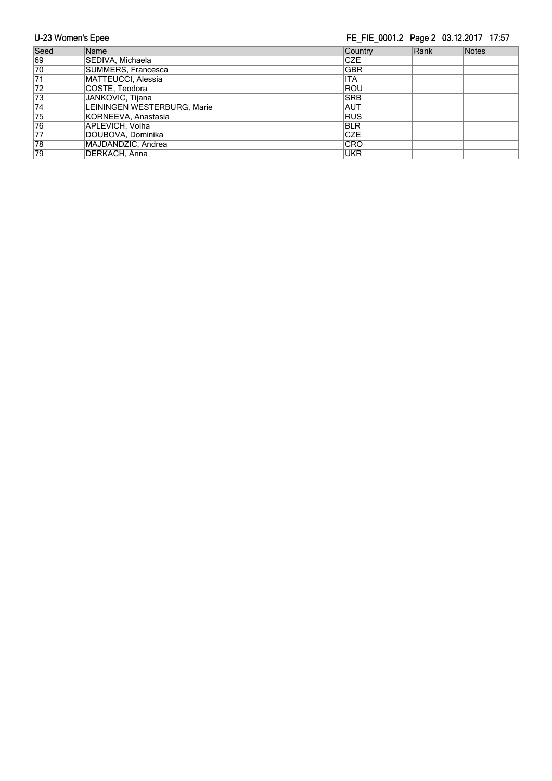|                 | U-23 Women's Epee           | FE FIE 0001.2 Page 2 03.12.2017 17:57 |      |       |
|-----------------|-----------------------------|---------------------------------------|------|-------|
| Seed            | Name                        | Country                               | Rank | Notes |
| 69              | SEDIVA, Michaela            | ICZE                                  |      |       |
| 70              | SUMMERS, Francesca          | <b>GBR</b>                            |      |       |
| $\overline{71}$ | MATTEUCCI, Alessia          | <b>ITA</b>                            |      |       |
| $\overline{72}$ | COSTE, Teodora              | ROU                                   |      |       |
| 73              | JANKOVIC, Tijana            | <b>SRB</b>                            |      |       |
| $\sqrt{74}$     | LEININGEN WESTERBURG, Marie | <b>AUT</b>                            |      |       |
| 75              | KORNEEVA, Anastasia         | <b>RUS</b>                            |      |       |
| 76              | APLEVICH, Volha             | <b>BLR</b>                            |      |       |
| $\overline{77}$ | DOUBOVA, Dominika           | <b>CZE</b>                            |      |       |
| 78              | MAJDANDZIC, Andrea          | <b>CRO</b>                            |      |       |
| 79              | DERKACH, Anna               | <b>UKR</b>                            |      |       |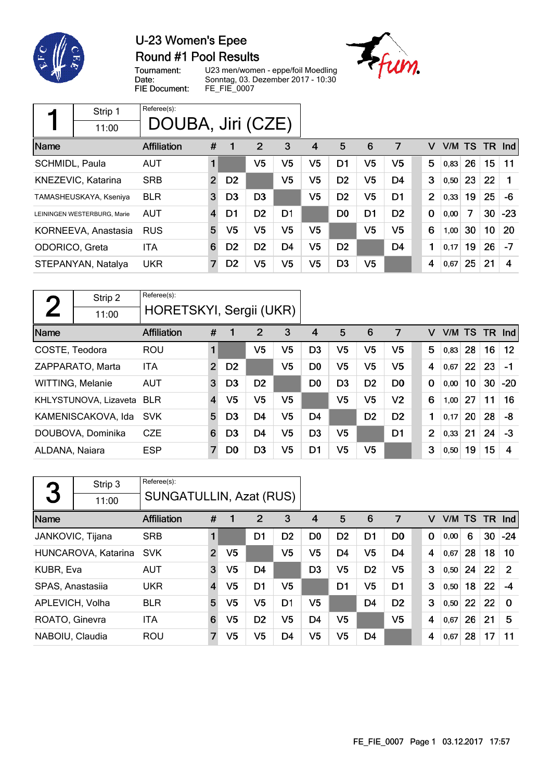

### U-23 Women's Epee **Round #1 Pool Results**

Tournament: Date: FIE Document: U23 men/women - eppe/foil Moedling Sonntag, 03. Dezember 2017 - 10:30 FE\_FIE\_0007



|                       | Strip 1                     | Referee(s):        |                |                |                |                |                |                |                |                |                |        |    |     |       |
|-----------------------|-----------------------------|--------------------|----------------|----------------|----------------|----------------|----------------|----------------|----------------|----------------|----------------|--------|----|-----|-------|
|                       | 11:00                       | DOUBA, Jiri (CZE)  |                |                |                |                |                |                |                |                |                |        |    |     |       |
| Name                  |                             | <b>Affiliation</b> | #              |                | $\overline{2}$ | 3              | 4              | 5              | 6              | 7              | v              | V/M TS |    | TR. | Ind   |
| SCHMIDL, Paula        |                             | <b>AUT</b>         | $\blacksquare$ |                | V <sub>5</sub> | V <sub>5</sub> | V <sub>5</sub> | D <sub>1</sub> | V <sub>5</sub> | V <sub>5</sub> | 5              | 0,83   | 26 | 15  | 11    |
|                       | KNEZEVIC, Katarina          | <b>SRB</b>         | $\overline{2}$ | D <sub>2</sub> |                | V <sub>5</sub> | V <sub>5</sub> | D <sub>2</sub> | V5             | D <sub>4</sub> | 3              | 0,50   | 23 | 22  |       |
|                       | TAMASHEUSKAYA, Kseniya      | <b>BLR</b>         | 3              | D <sub>3</sub> | D <sub>3</sub> |                | V <sub>5</sub> | D <sub>2</sub> | V <sub>5</sub> | D <sub>1</sub> | $\overline{2}$ | 0,33   | 19 | 25  | $-6$  |
|                       | LEININGEN WESTERBURG, Marie | AUT                | $\overline{4}$ | D1             | D <sub>2</sub> | D <sub>1</sub> |                | D0             | D <sub>1</sub> | D <sub>2</sub> | $\mathbf 0$    | 0,00   | 7  | 30  | $-23$ |
|                       | KORNEEVA, Anastasia         | <b>RUS</b>         | 5              | V5             | V <sub>5</sub> | V <sub>5</sub> | V <sub>5</sub> |                | V <sub>5</sub> | V5             | 6              | 1,00   | 30 | 10  | 20    |
| <b>ODORICO, Greta</b> |                             | ITA                | 6              | D <sub>2</sub> | D <sub>2</sub> | D <sub>4</sub> | V <sub>5</sub> | D <sub>2</sub> |                | D <sub>4</sub> | 1              | 0,17   | 19 | 26  | $-7$  |
|                       | STEPANYAN, Natalya          | <b>UKR</b>         |                | D <sub>2</sub> | V5             | V5             | V <sub>5</sub> | D <sub>3</sub> | V5             |                | 4              | 0,67   | 25 | 21  | 4     |

| $\mathbf{\Omega}$ | Strip 2               | Referee(s):             |                |                |                |    |                |                |                |                |                |        |           |     |                   |
|-------------------|-----------------------|-------------------------|----------------|----------------|----------------|----|----------------|----------------|----------------|----------------|----------------|--------|-----------|-----|-------------------|
|                   | 11:00                 | HORETSKYI, Sergii (UKR) |                |                |                |    |                |                |                |                |                |        |           |     |                   |
| Name              |                       | Affiliation             | #              | 1              | $\overline{2}$ | 3  | 4              | 5              | 6              | 7              | v              | V/M TS |           | TR. | Ind               |
| COSTE, Teodora    |                       | ROU                     | 1              |                | V5             | V5 | D <sub>3</sub> | V5             | V5             | V <sub>5</sub> | 5              | 0,83   | 28        | 16  | $12 \overline{ }$ |
|                   | ZAPPARATO, Marta      | <b>ITA</b>              | $\overline{2}$ | D <sub>2</sub> |                | V5 | D <sub>0</sub> | V <sub>5</sub> | V5             | V <sub>5</sub> | 4              | 0,67   | 22        | 23  | $-1$              |
|                   | WITTING, Melanie      | <b>AUT</b>              | 3              | D <sub>3</sub> | D <sub>2</sub> |    | D <sub>0</sub> | D <sub>3</sub> | D <sub>2</sub> | D <sub>0</sub> | $\mathbf 0$    | 0,00   | 10        | 30  | $-20$             |
|                   | KHLYSTUNOVA, Lizaveta | <b>BLR</b>              | 4              | V <sub>5</sub> | V <sub>5</sub> | V5 |                | V5             | V5             | V <sub>2</sub> | 6              | 1,00   | 27        | 11  | 16                |
|                   | KAMENISCAKOVA, Ida    | <b>SVK</b>              | 5              | D <sub>3</sub> | D <sub>4</sub> | V5 | D <sub>4</sub> |                | D <sub>2</sub> | D <sub>2</sub> | 1              | 0,17   | <b>20</b> | 28  | -8                |
|                   | DOUBOVA, Dominika     | <b>CZE</b>              | 6              | D <sub>3</sub> | D4             | V5 | D <sub>3</sub> | V <sub>5</sub> |                | D <sub>1</sub> | $\overline{2}$ | 0,33   | 21        | 24  | $-3$              |
| ALDANA, Naiara    |                       | <b>ESP</b>              | $\overline{7}$ | D <sub>0</sub> | D <sub>3</sub> | V5 | D <sub>1</sub> | V5             | V5             |                | 3              | 0,50   | 19        | 15  | 4                 |

| 3                   | Strip 3          | Referee(s):             |                |                |                |                |                |                |                |                |   |        |    |           |            |
|---------------------|------------------|-------------------------|----------------|----------------|----------------|----------------|----------------|----------------|----------------|----------------|---|--------|----|-----------|------------|
|                     | 11:00            | SUNGATULLIN, Azat (RUS) |                |                |                |                |                |                |                |                |   |        |    |           |            |
| Name                |                  | <b>Affiliation</b>      | #              | 1              | 2              | 3              | 4              | 5              | 6              | 7              | v | V/M TS |    | <b>TR</b> | <b>Ind</b> |
|                     | JANKOVIC, Tijana | <b>SRB</b>              |                |                | D <sub>1</sub> | D <sub>2</sub> | D <sub>0</sub> | D <sub>2</sub> | D <sub>1</sub> | D <sub>0</sub> | 0 | 0,00   | 6  | 30        | $-24$      |
| HUNCAROVA, Katarina |                  | <b>SVK</b>              | $\overline{2}$ | V <sub>5</sub> |                | V5             | V5             | D <sub>4</sub> | V <sub>5</sub> | D <sub>4</sub> | 4 | 0,67   | 28 | 18        | 10         |
| KUBR, Eva           |                  | <b>AUT</b>              | 3              | V <sub>5</sub> | D <sub>4</sub> |                | D <sub>3</sub> | V5             | D <sub>2</sub> | V5             | 3 | 0,50   | 24 | 22        | 2          |
| SPAS, Anastasiia    |                  | <b>UKR</b>              | $\overline{4}$ | V5             | D <sub>1</sub> | V5             |                | D <sub>1</sub> | V5             | D1             | 3 | 0,50   | 18 | 22        | -4         |
| APLEVICH, Volha     |                  | <b>BLR</b>              | 5              | V5             | V5             | D1             | V <sub>5</sub> |                | D4             | D <sub>2</sub> | 3 | 0,50   | 22 | 22        | $\Omega$   |
| ROATO, Ginevra      |                  | <b>ITA</b>              | 6              | V5             | D <sub>2</sub> | V5             | D <sub>4</sub> | V <sub>5</sub> |                | V <sub>5</sub> | 4 | 0,67   | 26 | 21        | 5          |
| NABOIU, Claudia     |                  | ROU                     | 7              | V5             | V5             | D4             | V5             | V5             | D4             |                | 4 | 0,67   | 28 | 17        | 11         |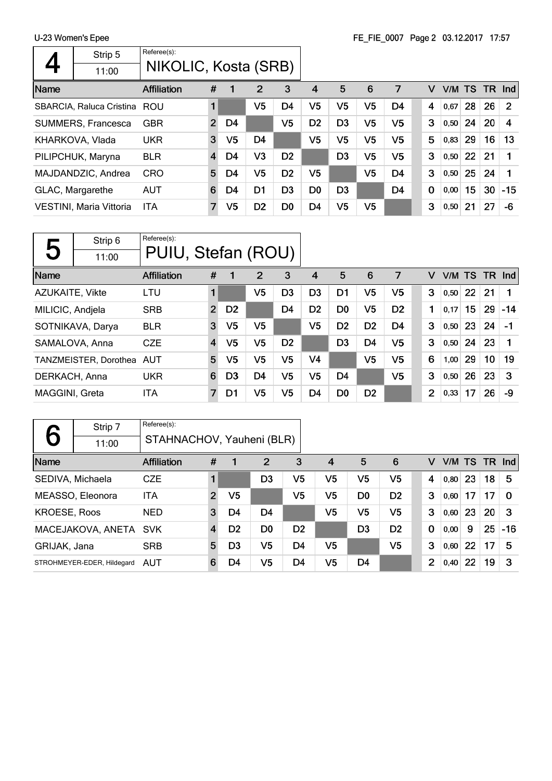|                    | <b>U-LU MUNICII J LIUC</b>            |                      |                |                |                |                | $1 - 11 - 0007$ $1000 - 00112.2017$ $17.07$ |                |                |                |             |      |           |     |                |
|--------------------|---------------------------------------|----------------------|----------------|----------------|----------------|----------------|---------------------------------------------|----------------|----------------|----------------|-------------|------|-----------|-----|----------------|
|                    | Strip 5                               | Referee(s):          |                |                |                |                |                                             |                |                |                |             |      |           |     |                |
|                    | 11:00                                 | NIKOLIC, Kosta (SRB) |                |                |                |                |                                             |                |                |                |             |      |           |     |                |
| Name               |                                       | <b>Affiliation</b>   | #              |                | 2              | 3              | 4                                           | 5              | 6              | 7              | v           | V/M  | <b>TS</b> | TR. | Ind            |
|                    | SBARCIA, Raluca Cristina              | <b>ROU</b>           |                |                | V5             | D4             | V5                                          | V5             | V5             | D4             | 4           | 0,67 | 28        | 26  | $\overline{2}$ |
| SUMMERS, Francesca |                                       | <b>GBR</b>           | $\overline{2}$ | D4             |                | V <sub>5</sub> | D <sub>2</sub>                              | D <sub>3</sub> | V <sub>5</sub> | V <sub>5</sub> | 3           | 0,50 | 24        | 20  | 4              |
|                    | KHARKOVA, Vlada                       | <b>UKR</b>           | 3              | V <sub>5</sub> | D4             |                | V5                                          | V5             | V <sub>5</sub> | V5             | 5           | 0,83 | 29        | 16  | 13             |
|                    | PILIPCHUK, Maryna                     | <b>BLR</b>           | 4              | D4             | V3             | D <sub>2</sub> |                                             | D <sub>3</sub> | V <sub>5</sub> | V <sub>5</sub> | 3           | 0,50 | <b>22</b> | 21  |                |
|                    | MAJDANDZIC, Andrea                    | <b>CRO</b>           | 5              | D4             | V5             | D <sub>2</sub> | V <sub>5</sub>                              |                | V <sub>5</sub> | D4             | 3           | 0,50 | 25        | 24  |                |
|                    | GLAC, Margarethe                      | <b>AUT</b>           | 6              | D4             | D <sub>1</sub> | D <sub>3</sub> | D <sub>0</sub>                              | D <sub>3</sub> |                | D <sub>4</sub> | $\mathbf 0$ | 0,00 | 15        | 30  | $-15$          |
|                    | VESTINI, Maria Vittoria<br><b>ITA</b> |                      | 7              | V <sub>5</sub> | D <sub>2</sub> | D0             | D4                                          | V <sub>5</sub> | V <sub>5</sub> |                | 3           | 0,50 | 21        | 27  | -6             |
|                    |                                       |                      |                |                |                |                |                                             |                |                |                |             |      |           |     |                |

| 5                | Strip 6               | Referee(s):        |                |                |                |                |                |                |                |                |                |      |    |    |           |
|------------------|-----------------------|--------------------|----------------|----------------|----------------|----------------|----------------|----------------|----------------|----------------|----------------|------|----|----|-----------|
|                  | 11:00                 | PUIU, Stefan (ROU) |                |                |                |                |                |                |                |                |                |      |    |    |           |
| Name             |                       | <b>Affiliation</b> | #              |                | 2              | 3              | 4              | 5              | 6              | 7              | v              | V/M  |    |    | TS TR Ind |
| AZUKAITE, Vikte  |                       | LTU                |                |                | V5             | D <sub>3</sub> | D3             | D <sub>1</sub> | V <sub>5</sub> | V <sub>5</sub> | 3              | 0,50 | 22 | 21 | 1         |
| MILICIC, Andjela |                       | <b>SRB</b>         | $\overline{2}$ | D <sub>2</sub> |                | D <sub>4</sub> | D <sub>2</sub> | D <sub>0</sub> | V <sub>5</sub> | D <sub>2</sub> | 1              | 0.17 | 15 | 29 | $-14$     |
| SOTNIKAVA, Darya |                       | <b>BLR</b>         | 3              | V <sub>5</sub> | V <sub>5</sub> |                | V <sub>5</sub> | D <sub>2</sub> | D <sub>2</sub> | D <sub>4</sub> | 3              | 0,50 | 23 | 24 | $-1$      |
| SAMALOVA, Anna   |                       | <b>CZE</b>         | $\overline{4}$ | V5             | V <sub>5</sub> | D <sub>2</sub> |                | D <sub>3</sub> | D4             | V <sub>5</sub> | 3              | 0,50 | 24 | 23 |           |
|                  | TANZMEISTER, Dorothea | AUT                | 5              | V5             | V <sub>5</sub> | V <sub>5</sub> | V4             |                | V <sub>5</sub> | V5             | 6              | 1,00 | 29 | 10 | 19        |
| DERKACH, Anna    |                       | <b>UKR</b>         | 6              | D <sub>3</sub> | D4             | V5             | V5             | D <sub>4</sub> |                | V <sub>5</sub> | 3              | 0,50 | 26 | 23 | З         |
| MAGGINI, Greta   |                       | ITA                | 7              | D1             | V5             | V5             | D4             | D <sub>0</sub> | D <sub>2</sub> |                | $\overline{2}$ | 0,33 | 17 | 26 | -9        |

|                     | Strip 7                    | Referee(s):               |                |                |                |                |                |                |                |          |   |               |    |    |          |
|---------------------|----------------------------|---------------------------|----------------|----------------|----------------|----------------|----------------|----------------|----------------|----------|---|---------------|----|----|----------|
|                     | 11:00                      | STAHNACHOV, Yauheni (BLR) |                |                |                |                |                |                |                |          |   |               |    |    |          |
| Name                |                            | <b>Affiliation</b>        | #              |                | 2              | 3              | $\overline{4}$ | $5\phantom{1}$ | 6              |          | v | V/M TS TR Ind |    |    |          |
|                     | SEDIVA, Michaela           | <b>CZE</b>                |                |                | D <sub>3</sub> | V5             | V5             | V5             | V <sub>5</sub> |          | 4 | 0,80          | 23 | 18 | 5        |
| MEASSO, Eleonora    |                            | <b>ITA</b>                | $\overline{2}$ | V5             |                | V5             | V5             | D <sub>0</sub> | D <sub>2</sub> |          | 3 | 0,60          | 17 | 17 | $\Omega$ |
| <b>KROESE, Roos</b> |                            | <b>NED</b>                | 3              | D4             | D <sub>4</sub> |                | V5             | V5             | V <sub>5</sub> |          | 3 | 0,60          | 23 | 20 | 3        |
|                     | MACEJAKOVA, ANETA SVK      |                           | $\overline{4}$ | D <sub>2</sub> | D <sub>0</sub> | D <sub>2</sub> |                | D <sub>3</sub> | D <sub>2</sub> | $\bf{0}$ |   | 0,00          | 9  | 25 | $-16$    |
| GRIJAK, Jana        |                            | <b>SRB</b>                | 5              | D <sub>3</sub> | V5             | D4             | V5             |                | V5             |          | 3 | 0,60          | 22 | 17 | 5        |
|                     | STROHMEYER-EDER, Hildegard | AUT                       | 6              | D4             | V5             | D4             | V5             | D <sub>4</sub> |                |          | 2 | 0,40          | 22 | 19 | 3        |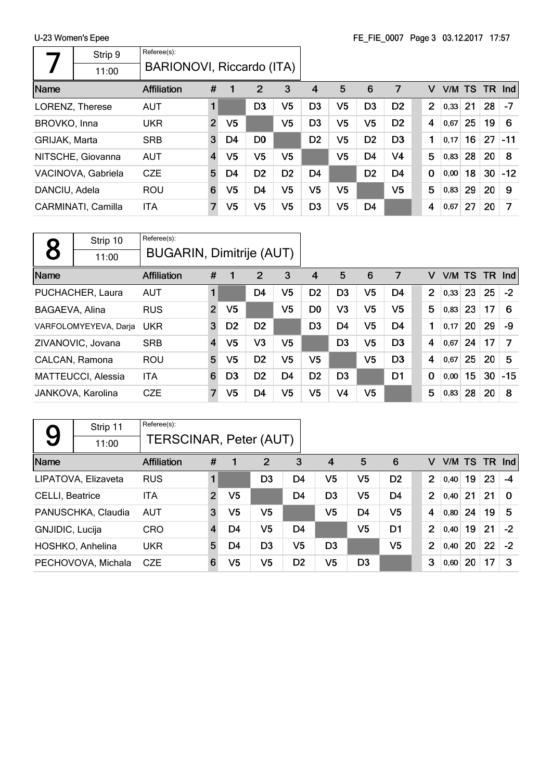|               | Strip 9            | Referee(s):               |                |                |                |                |                |                |                |                |                |        |    |     |            |
|---------------|--------------------|---------------------------|----------------|----------------|----------------|----------------|----------------|----------------|----------------|----------------|----------------|--------|----|-----|------------|
|               | 11:00              | BARIONOVI, Riccardo (ITA) |                |                |                |                |                |                |                |                |                |        |    |     |            |
| Name          |                    | <b>Affiliation</b>        | #              | 1              | 2              | 3              | 4              | 5              | 6              | 7              | v              | V/M TS |    | TR. | <b>Ind</b> |
|               | LORENZ, Therese    | <b>AUT</b>                |                |                | D <sub>3</sub> | V5             | D <sub>3</sub> | V <sub>5</sub> | D <sub>3</sub> | D <sub>2</sub> | $\overline{2}$ | 0,33   | 21 | 28  | $-7$       |
| BROVKO, Inna  |                    | <b>UKR</b>                | $\overline{2}$ | V <sub>5</sub> |                | V5             | D <sub>3</sub> | V5             | V <sub>5</sub> | D <sub>2</sub> | 4              | 0.67   | 25 | 19  | 6          |
| GRIJAK, Marta |                    | <b>SRB</b>                | 3              | D4             | D <sub>0</sub> |                | D <sub>2</sub> | V5             | D <sub>2</sub> | D <sub>3</sub> | 1              | 0,17   | 16 | 27  | $-11$      |
|               | NITSCHE, Giovanna  | <b>AUT</b>                | $\overline{4}$ | V5             | V <sub>5</sub> | V <sub>5</sub> |                | V <sub>5</sub> | D <sub>4</sub> | V <sub>4</sub> | 5              | 0,83   | 28 | 20  | 8          |
|               | VACINOVA, Gabriela | <b>CZE</b>                | 5              | D4             | D <sub>2</sub> | D <sub>2</sub> | D <sub>4</sub> |                | D <sub>2</sub> | D <sub>4</sub> | 0              | 0,00   | 18 | 30  | $-12$      |
| DANCIU, Adela |                    | <b>ROU</b>                | 6              | V <sub>5</sub> | D <sub>4</sub> | V5             | V5             | V <sub>5</sub> |                | V <sub>5</sub> | 5              | 0,83   | 29 | 20  | 9          |
|               | CARMINATI, Camilla | ITA                       | 7              | V <sub>5</sub> | V5             | V <sub>5</sub> | D <sub>3</sub> | V5             | D4             |                | 4              | 0,67   | 27 | 20  | 7          |

|                       | Strip 10                  | Referee(s):                     |                         |                |                |                |                |                |                |                |                |        |    |     |       |
|-----------------------|---------------------------|---------------------------------|-------------------------|----------------|----------------|----------------|----------------|----------------|----------------|----------------|----------------|--------|----|-----|-------|
|                       | 11:00                     | <b>BUGARIN, Dimitrije (AUT)</b> |                         |                |                |                |                |                |                |                |                |        |    |     |       |
| Name                  |                           | <b>Affiliation</b>              | #                       | 1              | 2              | 3              | 4              | 5              | 6              | 7              | v              | V/M TS |    | TR. | Ind   |
|                       | PUCHACHER, Laura          | <b>AUT</b>                      |                         |                | D4             | V5             | D <sub>2</sub> | D <sub>3</sub> | V <sub>5</sub> | D4             | $\overline{2}$ | 0,33   | 23 | 25  | $-2$  |
| <b>BAGAEVA, Alina</b> |                           | <b>RUS</b>                      | $\overline{2}$          | V <sub>5</sub> |                | V5             | D <sub>0</sub> | V3             | V <sub>5</sub> | V <sub>5</sub> | 5              | 0,83   | 23 | 17  | 6     |
|                       | VARFOLOMYEYEVA, Darja     | <b>UKR</b>                      | 3                       | D <sub>2</sub> | D <sub>2</sub> |                | D <sub>3</sub> | D4             | V <sub>5</sub> | D4             | 1              | 0,17   | 20 | 29  | -9    |
|                       | ZIVANOVIC, Jovana         | <b>SRB</b>                      | $\overline{\mathbf{4}}$ | V5             | V <sub>3</sub> | V5             |                | D <sub>3</sub> | V <sub>5</sub> | D <sub>3</sub> | 4              | 0,67   | 24 | 17  | 7     |
|                       | CALCAN, Ramona            | <b>ROU</b>                      | 5                       | V5             | D <sub>2</sub> | V5             | V <sub>5</sub> |                | V <sub>5</sub> | D <sub>3</sub> | 4              | 0,67   | 25 | 20  | 5     |
|                       | <b>MATTEUCCI, Alessia</b> | <b>ITA</b>                      | 6                       | D <sub>3</sub> | D <sub>2</sub> | D <sub>4</sub> | D <sub>2</sub> | D <sub>3</sub> |                | D <sub>1</sub> | $\bf{0}$       | 0,00   | 15 | 30  | $-15$ |
|                       | JANKOVA, Karolina         | <b>CZE</b>                      | 7                       | V5             | D4             | V5             | V5             | V <sub>4</sub> | V5             |                | 5              | 0,83   | 28 | 20  | 8     |

| 9               | Strip 11            | Referee(s):                   |                         |                |                |                |                |                |                |                |               |    |    |          |
|-----------------|---------------------|-------------------------------|-------------------------|----------------|----------------|----------------|----------------|----------------|----------------|----------------|---------------|----|----|----------|
|                 | 11:00               | <b>TERSCINAR, Peter (AUT)</b> |                         |                |                |                |                |                |                |                |               |    |    |          |
| Name            |                     | <b>Affiliation</b>            | #                       |                | 2              | 3              | $\overline{4}$ | 5              | 6              | v              | V/M TS TR Ind |    |    |          |
|                 | LIPATOVA, Elizaveta | <b>RUS</b>                    |                         |                | D <sub>3</sub> | D <sub>4</sub> | V5             | V5             | D <sub>2</sub> | $\overline{2}$ | 0,40          | 19 | 23 | -4       |
| CELLI, Beatrice |                     | <b>ITA</b>                    | $\overline{2}$          | V5             |                | D <sub>4</sub> | D <sub>3</sub> | V5             | D <sub>4</sub> | $\overline{2}$ | 0.40          | 21 | 21 | $\Omega$ |
|                 | PANUSCHKA, Claudia  | <b>AUT</b>                    | 3                       | V5             | V5             |                | V5             | D <sub>4</sub> | V5             | 4              | 0,80          | 24 | 19 | 5        |
| GNJIDIC, Lucija |                     | <b>CRO</b>                    | $\overline{\mathbf{4}}$ | D4             | V5             | D <sub>4</sub> |                | V5             | D <sub>1</sub> | $\overline{2}$ | 0.40          | 19 | 21 | $-2$     |
|                 | HOSHKO, Anhelina    | <b>UKR</b>                    | 5                       | D4             | D <sub>3</sub> | V5             | D <sub>3</sub> |                | V <sub>5</sub> | $\overline{2}$ | 0.40          | 20 | 22 | $-2$     |
|                 | PECHOVOVA, Michala  | <b>CZE</b>                    | 6                       | V <sub>5</sub> | V5             | D <sub>2</sub> | V5             | D <sub>3</sub> |                | 3              | 0,60          | 20 | 17 | 3        |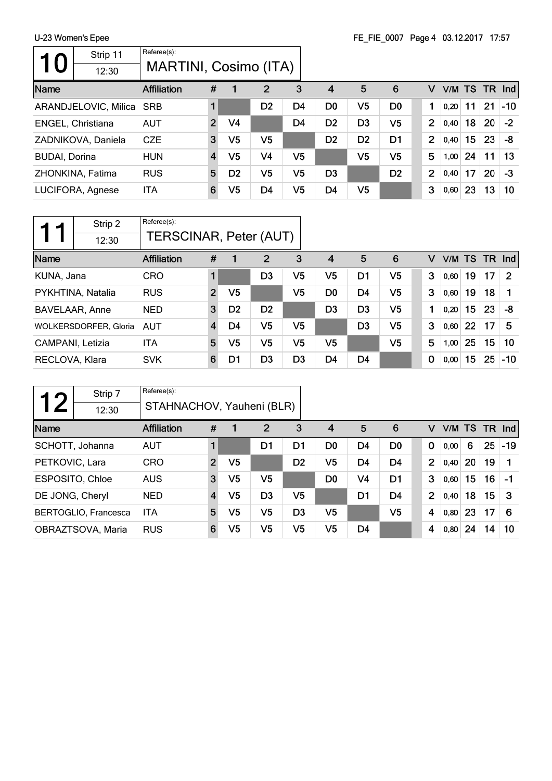|                      | Strip 11             | Referee(s):           |                |                |                |                |                |                |                |                |        |    |     |       |
|----------------------|----------------------|-----------------------|----------------|----------------|----------------|----------------|----------------|----------------|----------------|----------------|--------|----|-----|-------|
| 10                   | 12:30                | MARTINI, Cosimo (ITA) |                |                |                |                |                |                |                |                |        |    |     |       |
| Name                 |                      | <b>Affiliation</b>    | #              |                | $\overline{2}$ | 3              | $\overline{4}$ | 5              | 6              | v              | V/M TS |    | TR. | Ind   |
|                      | ARANDJELOVIC, Milica | <b>SRB</b>            | 1              |                | D <sub>2</sub> | D4             | D <sub>0</sub> | V5             | D <sub>0</sub> |                | 0,20   | 11 | 21  | $-10$ |
|                      | ENGEL, Christiana    | AUT                   | $\overline{2}$ | V <sub>4</sub> |                | D <sub>4</sub> | D <sub>2</sub> | D <sub>3</sub> | V <sub>5</sub> | $\overline{2}$ | 0,40   | 18 | 20  | $-2$  |
|                      | ZADNIKOVA, Daniela   | <b>CZE</b>            | 3              | V5             | V5             |                | D <sub>2</sub> | D <sub>2</sub> | D <sub>1</sub> | $\overline{2}$ | 0,40   | 15 | 23  | -8    |
| <b>BUDAI, Dorina</b> |                      | <b>HUN</b>            | 4              | V5             | V4             | V5             |                | V5             | V <sub>5</sub> | 5              | 1,00   | 24 | 11  | 13    |
|                      | ZHONKINA, Fatima     | <b>RUS</b>            | 5              | D <sub>2</sub> | V5             | V5             | D <sub>3</sub> |                | D <sub>2</sub> | $\overline{2}$ | 0,40   | 17 | 20  | $-3$  |
|                      | LUCIFORA, Agnese     | <b>ITA</b>            | 6              | V5             | D <sub>4</sub> | V5             | D <sub>4</sub> | V5             |                | 3              | 0,60   | 23 | 13  | 10    |
|                      |                      |                       |                |                |                |                |                |                |                |                |        |    |     |       |

|                  | Strip 2               | Referee(s):                   |                |                |                |                |                |                |                |   |        |    |           |       |
|------------------|-----------------------|-------------------------------|----------------|----------------|----------------|----------------|----------------|----------------|----------------|---|--------|----|-----------|-------|
|                  | 12:30                 | <b>TERSCINAR, Peter (AUT)</b> |                |                |                |                |                |                |                |   |        |    |           |       |
| Name             |                       | <b>Affiliation</b>            | #              |                | 2              | 3              | 4              | 5              | 6              | v | V/M TS |    | <b>TR</b> | Ind   |
| KUNA, Jana       |                       | <b>CRO</b>                    |                |                | D3             | V5             | V5             | D1             | V <sub>5</sub> | 3 | 0,60   | 19 | 17        | 2     |
|                  | PYKHTINA, Natalia     | <b>RUS</b>                    | $\overline{2}$ | V <sub>5</sub> |                | V5             | D <sub>0</sub> | D <sub>4</sub> | V5             | 3 | 0,60   | 19 | 18        |       |
| BAVELAAR, Anne   |                       | <b>NED</b>                    | 3              | D <sub>2</sub> | D <sub>2</sub> |                | D <sub>3</sub> | D <sub>3</sub> | V <sub>5</sub> | 1 | 0,20   | 15 | 23        | -8    |
|                  | WOLKERSDORFER, Gloria | AUT                           | 4              | D4             | V5             | V5             |                | D <sub>3</sub> | V5             | 3 | 0,60   | 22 | 17        | 5     |
| CAMPANI, Letizia |                       | ITA                           | 5              | V5             | V <sub>5</sub> | V5             | V <sub>5</sub> |                | V <sub>5</sub> | 5 | 1,00   | 25 | 15        | 10    |
| RECLOVA, Klara   |                       | <b>SVK</b>                    | 6              | D1             | D <sub>3</sub> | D <sub>3</sub> | D <sub>4</sub> | D <sub>4</sub> |                | 0 | 0,00   | 15 | 25        | $-10$ |

| $\mathbf \Omega$ | Strip 7                | Referee(s):               |                |                |                |                |                |                |                |                |      |           |    |        |
|------------------|------------------------|---------------------------|----------------|----------------|----------------|----------------|----------------|----------------|----------------|----------------|------|-----------|----|--------|
|                  | 12:30                  | STAHNACHOV, Yauheni (BLR) |                |                |                |                |                |                |                |                |      |           |    |        |
| Name             |                        | <b>Affiliation</b>        | #              |                | $\overline{2}$ | 3              | $\overline{4}$ | 5              | 6              | v              |      | V/M TS    |    | TR Ind |
|                  | SCHOTT, Johanna        | <b>AUT</b>                | 1              |                | D1             | D1             | D <sub>0</sub> | D4             | D <sub>0</sub> | $\bf{0}$       | 0,00 | 6         | 25 | $-19$  |
| PETKOVIC, Lara   |                        | <b>CRO</b>                | $\overline{2}$ | V5             |                | D <sub>2</sub> | V5             | D4             | D4             | $\overline{2}$ | 0.40 | <b>20</b> | 19 |        |
|                  | <b>ESPOSITO, Chloe</b> | <b>AUS</b>                | 3              | V5             | V5             |                | D <sub>0</sub> | V4             | D <sub>1</sub> | 3              | 0,60 | 15        | 16 | -1     |
| DE JONG, Cheryl  |                        | <b>NED</b>                | $\overline{4}$ | V <sub>5</sub> | D <sub>3</sub> | V <sub>5</sub> |                | D <sub>1</sub> | D4             | $\overline{2}$ | 0,40 | 18        | 15 | -3     |
|                  | BERTOGLIO, Francesca   | <b>ITA</b>                | 5              | V5             | V <sub>5</sub> | D <sub>3</sub> | V5             |                | V <sub>5</sub> | 4              | 0,80 | 23        | 17 | 6      |
|                  | OBRAZTSOVA, Maria      | <b>RUS</b>                | 6              | V5             | V <sub>5</sub> | V5             | V <sub>5</sub> | D4             |                | 4              | 0,80 | 24        | 14 | 10     |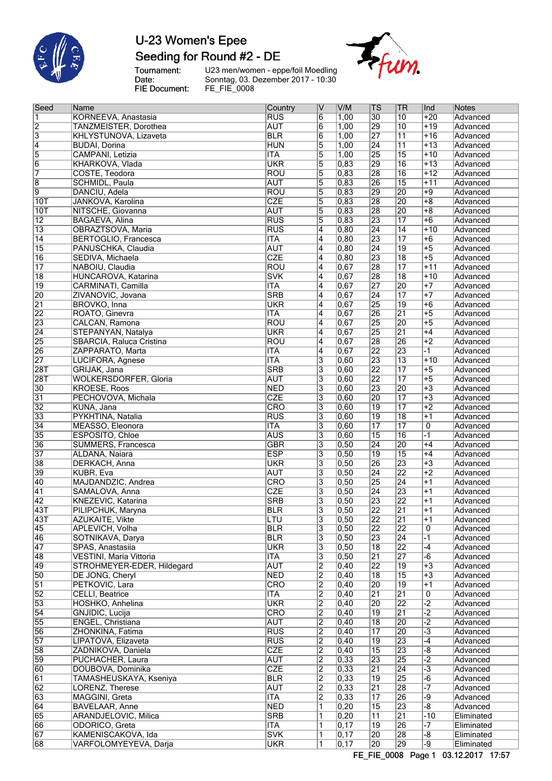

## U-23 Women's Epee Seeding for Round #2 - DE

Tournament:<br>Date: FIE Document:

U23 men/women - eppe/foil Moedling Sonntag, 03. Dezember 2017 - 10:30 FE\_FIE\_0008



| Seed             | Name                            | Country                   | $\overline{\mathsf{v}}$ | V/M               | $\overline{\text{TS}}$ | <b>TR</b>       | Ind                       | <b>Notes</b> |
|------------------|---------------------------------|---------------------------|-------------------------|-------------------|------------------------|-----------------|---------------------------|--------------|
| $\overline{1}$   | KORNEEVA, Anastasia             | <b>RUS</b>                | 6                       | 1,00              | 30                     | $\overline{10}$ | $+20$                     | Advanced     |
| $\overline{2}$   | TANZMEISTER, Dorothea           | <b>AUT</b>                | 6                       | 1,00              | 29                     | $\overline{10}$ | $+19$                     | Advanced     |
| $\overline{3}$   | KHLYSTUNOVA, Lizaveta           | <b>BLR</b>                | 6                       | 1,00              | $\overline{27}$        | $\overline{11}$ | $+16$                     | Advanced     |
| $\overline{4}$   | <b>BUDAI</b> , Dorina           | <b>HUN</b>                | 5                       | 1,00              | $\overline{24}$        | $\overline{11}$ | $+13$                     | Advanced     |
| 5                | CAMPANI, Letizia                | <b>ITA</b>                | $\overline{5}$          | 1,00              | 25                     | 15              | $+10$                     | Advanced     |
| $\overline{6}$   | KHARKOVA, Vlada                 | <b>UKR</b>                | $\overline{5}$          | 0,83              | 29                     | 16              | $+13$                     | Advanced     |
|                  |                                 | $\overline{\text{ROU}}$   |                         |                   | 28                     |                 |                           |              |
| 7                | COSTE, Teodora                  |                           | 5                       | 0,83              |                        | 16              | $+12$                     | Advanced     |
| $\overline{8}$   | <b>SCHMIDL, Paula</b>           | <b>AUT</b>                | $\overline{5}$          | 0,83              | 26                     | 15              | $+11$                     | Advanced     |
| 9                | DANCIU, Adela                   | <b>ROU</b>                | $\overline{5}$          | 0,83              | 29                     | 20              | $+9$                      | Advanced     |
| 10T              | JANKOVA, Karolina               | CZE                       | 5                       | 0,83              | 28                     | 20              | $+8$                      | Advanced     |
| 10T              | NITSCHE, Giovanna               | <b>AUT</b>                | 5                       | 0,83              | 28                     | 20              | $+8$                      | Advanced     |
| $\overline{12}$  | BAGAEVA, Alina                  | <b>RUS</b>                | 5                       | 0,83              | 23                     | $\overline{17}$ | $\overline{+6}$           | Advanced     |
| $\overline{13}$  | OBRAZTSOVA, Maria               | <b>RUS</b>                | 4                       | 0,80              | $\overline{24}$        | $\overline{14}$ | $+10$                     | Advanced     |
| 14               | <b>BERTOGLIO, Francesca</b>     | <b>ITA</b>                | 4                       | 0,80              | 23                     | $\overline{17}$ | $+6$                      | Advanced     |
| $\overline{15}$  | PANUSCHKA, Claudia              | <b>AUT</b>                | 4                       | 0,80              | $\overline{24}$        | 19              | $\overline{+5}$           | Advanced     |
| 16               | SEDIVA, Michaela                | CZE                       | 4                       | 0,80              | 23                     | $\overline{18}$ | $+5$                      | Advanced     |
| $\overline{17}$  | NABOIU, Claudia                 | ROU                       | 4                       | 0,67              | 28                     | $\overline{17}$ | $+11$                     | Advanced     |
| $\overline{18}$  | HUNCAROVA, Katarina             | <b>SVK</b>                | 4                       | 0,67              | 28                     | 18              | $+10$                     | Advanced     |
|                  |                                 |                           |                         | 0,67              | 27                     | 20              | $+7$                      |              |
| $\overline{19}$  | CARMINATI, Camilla              | <b>ITA</b>                | 4                       |                   |                        |                 |                           | Advanced     |
| 20               | ZIVANOVIC, Jovana               | <b>SRB</b>                | 4                       | 0,67              | 24                     | $\overline{17}$ | $+7$                      | Advanced     |
| $\overline{21}$  | BROVKO, Inna                    | <b>UKR</b>                | 4                       | 0,67              | 25                     | 19              | $+6$                      | Advanced     |
| $\overline{22}$  | ROATO, Ginevra                  | <b>ITA</b>                | 4                       | 0,67              | 26                     | $\overline{21}$ | $\overline{+5}$           | Advanced     |
| 23               | CALCAN, Ramona                  | <b>ROU</b>                | 4                       | 0,67              | 25                     | 20              | $\overline{+5}$           | Advanced     |
| $\overline{24}$  | STEPANYAN, Natalya              | UKR                       | 4                       | 0,67              | 25                     | $\overline{21}$ | $+4$                      | Advanced     |
| 25               | <b>SBARCIA, Raluca Cristina</b> | <b>ROU</b>                | 4                       | 0,67              | 28                     | 26              | $+2$                      | Advanced     |
| 26               | ZAPPARATO, Marta                | <b>ITA</b>                | 4                       | 0,67              | 22                     | $\overline{23}$ | $\overline{1}$            | Advanced     |
| $\overline{27}$  | LUCIFORA, Agnese                | <b>ITA</b>                | $\overline{3}$          | 0,60              | 23                     | $\overline{13}$ | $+10$                     | Advanced     |
| 28T              | GRIJAK, Jana                    | <b>SRB</b>                | 3                       | 0,60              | 22                     | $\overline{17}$ | $\overline{+5}$           | Advanced     |
| $\overline{28T}$ | <b>WOLKERSDORFER, Gloria</b>    | <b>AUT</b>                | 3                       | 0,60              | 22                     | $\overline{17}$ | $+5$                      | Advanced     |
| 30               |                                 | <b>NED</b>                | $\overline{3}$          | 0,60              | 23                     | 20              | $+3$                      |              |
|                  | <b>KROESE, Roos</b>             |                           |                         |                   |                        |                 |                           | Advanced     |
| $\overline{31}$  | PECHOVOVA, Michala              | CZE                       | $\overline{3}$          | 0,60              | 20                     | $\overline{17}$ | $+3$                      | Advanced     |
| $\overline{32}$  | KUNA, Jana                      | CRO                       | 3                       | 0,60              | $\overline{19}$        | $\overline{17}$ | $+2$                      | Advanced     |
| 33               | PYKHTINA, Natalia               | <b>RUS</b>                | $\overline{3}$          | 0,60              | $\overline{19}$        | 18              | $+1$                      | Advanced     |
| $\overline{34}$  | MEASSO, Eleonora                | <b>ITA</b>                | $\overline{3}$          | 0,60              | $\overline{17}$        | $\overline{17}$ | $\overline{\mathfrak{o}}$ | Advanced     |
| 35               | ESPOSITO, Chloe                 | <b>AUS</b>                | 3                       | 0,60              | $\overline{15}$        | 16              | $\overline{-1}$           | Advanced     |
| 36               | SUMMERS, Francesca              | <b>GBR</b>                | $\overline{3}$          | 0,50              | $\overline{24}$        | 20              | $+4$                      | Advanced     |
| 37               | ALDANA, Naiara                  | <b>ESP</b>                | $\overline{3}$          | 0,50              | 19                     | 15              | $+4$                      | Advanced     |
| 38               | <b>DERKACH, Anna</b>            | <b>UKR</b>                | $\overline{\mathbf{3}}$ | 0,50              | 26                     | 23              | $+3$                      | Advanced     |
| 39               | KUBR, Eva                       | <b>AUT</b>                | 3                       | 0,50              | $\overline{24}$        | 22              | $+2$                      | Advanced     |
| 40               | MAJDANDZIC, Andrea              | <b>CRO</b>                | $\overline{3}$          | 0,50              | 25                     | $\overline{24}$ | $+1$                      | Advanced     |
| $\overline{41}$  | SAMALOVA, Anna                  | <b>CZE</b>                | $\overline{3}$          | 0,50              | $\overline{24}$        | 23              | $+1$                      | Advanced     |
|                  |                                 |                           |                         |                   |                        |                 |                           |              |
| $\overline{42}$  | KNEZEVIC, Katarina              | <b>SRB</b>                | 3                       | 0, 50             | 23                     | 22              | $+1$                      | Advanced     |
| $\overline{43T}$ | PILIPCHUK, Maryna               | <b>BLR</b>                | 3                       | 0, 50             | 22                     | $\overline{21}$ | $+1$                      | Advanced     |
| $\sqrt{43T}$     | <b>AZUKAITE, Vikte</b>          | <b>LTU</b>                | $\overline{3}$          | 0,50              | 22                     | $\overline{21}$ | $\overline{+1}$           | Advanced     |
| 45               | APLEVICH, Volha                 | <b>BLR</b>                | 3                       | 0,50              | $\overline{22}$        | $ 22\rangle$    | 0                         | Advanced     |
| $\overline{46}$  | SOTNIKAVA, Darya                | <b>BLR</b>                | 3                       | 0,50              | $\overline{23}$        | 24              | $-1$                      | Advanced     |
| 47               | SPAS, Anastasiia                | <b>UKR</b>                | $\overline{3}$          | 0,50              | $\overline{18}$        | 22              | $-4$                      | Advanced     |
| 48               | VESTINI, Maria Vittoria         | $\overline{\mathsf{ITA}}$ | 3                       | 0, 50             | $\overline{21}$        | 27              | $-6$                      | Advanced     |
| 49               | STROHMEYER-EDER, Hildegard      | <b>AUT</b>                | $\overline{2}$          | 0,40              | 22                     | $\overline{19}$ | $+3$                      | Advanced     |
| 50               | DE JONG, Cheryl                 | <b>NED</b>                | $\overline{2}$          | 0,40              | $\overline{18}$        | $\overline{15}$ | $+3$                      | Advanced     |
| $\overline{51}$  | PETKOVIC, Lara                  | <b>CRO</b>                | $\overline{2}$          | $ 0,40\rangle$    | $ 20\rangle$           | $\overline{19}$ | $+1$                      | Advanced     |
| $\overline{52}$  | CELLI, Beatrice                 | <b>ITA</b>                | $\overline{2}$          | $ 0,40\rangle$    | $\overline{21}$        | $\overline{21}$ | 0                         | Advanced     |
|                  |                                 |                           |                         |                   |                        |                 |                           |              |
| 53               | HOSHKO, Anhelina                | <b>UKR</b>                | $\overline{2}$          | 0,40              | $ 20\rangle$           | 22              | $-2$                      | Advanced     |
| $\overline{54}$  | GNJIDIC, Lucija                 | <b>CRO</b>                | $\overline{2}$          | $ 0,40\rangle$    | $\overline{19}$        | $\overline{21}$ | $\overline{-2}$           | Advanced     |
| 55               | ENGEL, Christiana               | <b>AUT</b>                | $\overline{2}$          | $ 0,40\rangle$    | 18                     | 20              | $-2$                      | Advanced     |
| 56               | ZHONKINA, Fatima                | <b>RUS</b>                | $\overline{2}$          | 0,40              | $\overline{17}$        | 20              | $\overline{-3}$           | Advanced     |
| 57               | LIPATOVA, Elizaveta             | $R\overline{US}$          | $\overline{2}$          | 0,40              | $\overline{19}$        | 23              | $-4$                      | Advanced     |
| 58               | ZADNIKOVA, Daniela              | <b>CZE</b>                | $\overline{2}$          | 0,40              | 15                     | 23              | $-\sqrt{8}$               | Advanced     |
| 59               | PUCHACHER, Laura                | <b>AUT</b>                | $\overline{2}$          | $\overline{0,33}$ | 23                     | 25              | $-2$                      | Advanced     |
| 60               | DOUBOVA, Dominika               | CZE                       | $\overline{2}$          | 0,33              | $\overline{21}$        | $\overline{24}$ | $\overline{-3}$           | Advanced     |
| $\overline{61}$  | TAMASHEUSKAYA, Kseniya          | <b>BLR</b>                | $\overline{2}$          | $\overline{0,33}$ | $\overline{19}$        | 25              | $-6$                      | Advanced     |
| $\overline{62}$  | LORENZ, Therese                 | <b>AUT</b>                | $\overline{2}$          | 0,33              | $\overline{21}$        | 28              | $\overline{\mathsf{F}7}$  | Advanced     |
| 63               | MAGGINI, Greta                  | <b>ITA</b>                | $\overline{2}$          | 0,33              | $\overline{17}$        | 26              | -9                        | Advanced     |
|                  |                                 | <b>NED</b>                |                         |                   |                        |                 |                           |              |
| $\overline{64}$  | BAVELAAR, Anne                  |                           | 1                       | 0,20              | 15                     | 23              | $-8$                      | Advanced     |
| 65               | ARANDJELOVIC, Milica            | <b>SRB</b>                | 1                       | 0, 20             | $\overline{11}$        | $\overline{21}$ | $-10$                     | Eliminated   |
| 66               | ODORICO, Greta                  | $\overline{\mathsf{ITA}}$ | 1                       | 0, 17             | $\overline{19}$        | 26              | $\overline{-7}$           | Eliminated   |
| $\overline{67}$  | KAMENISCAKOVA, Ida              | <b>SVK</b>                | 1                       | $\overline{0,17}$ | 20                     | $\overline{28}$ | $-8$                      | Eliminated   |
| 68               | VARFOLOMYEYEVA, Darja           | <b>UKR</b>                | 1                       | 0,17              | 20                     | 29              | -9                        | Eliminated   |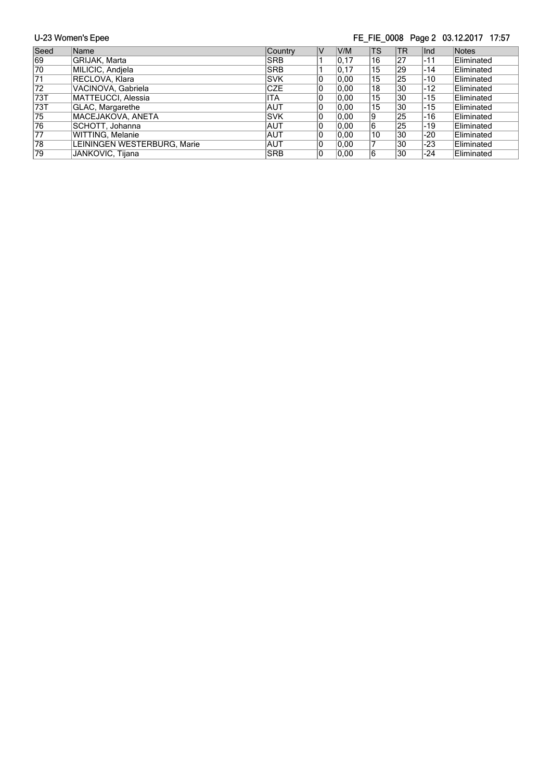### FE\_FIE\_0008 Page 2 03.12.2017 17:57

| Seed            | Name                        | Country     | $\vee$ | V/M   | <b>TS</b> | <b>TR</b> | lnd    | Notes      |
|-----------------|-----------------------------|-------------|--------|-------|-----------|-----------|--------|------------|
| 69              | GRIJAK, Marta               | <b>SRB</b>  |        | 0, 17 | 16        | 27        | $ -11$ | Eliminated |
| 70              | MILICIC, Andjela            | <b>SRB</b>  |        | 0, 17 | 15        | 29        | $-14$  | Eliminated |
| $\overline{71}$ | RECLOVA, Klara              | <b>SVK</b>  | 10     | 0.00  | 15        | 25        | $-10$  | Eliminated |
| $\overline{72}$ | VACINOVA, Gabriela          | <b>CZE</b>  | 10     | 0.00  | 18        | 130       | $-12$  | Eliminated |
| 73T             | <b>MATTEUCCI, Alessia</b>   | <b>ITA</b>  | 10     | 0.00  | 15        | 130       | $-15$  | Eliminated |
| 73T             | GLAC, Margarethe            | <b>AUT</b>  | 10     | 0.00  | 15        | 130       | $-15$  | Eliminated |
| $\overline{75}$ | MACEJAKOVA, ANETA           | <b>ISVK</b> | 10     | 0.00  | 19        | 25        | -16    | Eliminated |
| $\overline{76}$ | SCHOTT, Johanna             | <b>AUT</b>  | 10     | 0.00  | 16        | 25        | $-19$  | Eliminated |
| 77              | WITTING, Melanie            | <b>AUT</b>  | 10     | 0.00  | 10        | 30        | -20    | Eliminated |
| 78              | LEININGEN WESTERBURG, Marie | <b>AUT</b>  | 10     | 0.00  |           | 30        | $-23$  | Eliminated |
| 79              | JANKOVIC, Tijana            | <b>SRB</b>  | 10     | 0,00  | 16        | 30        | -24    | Eliminated |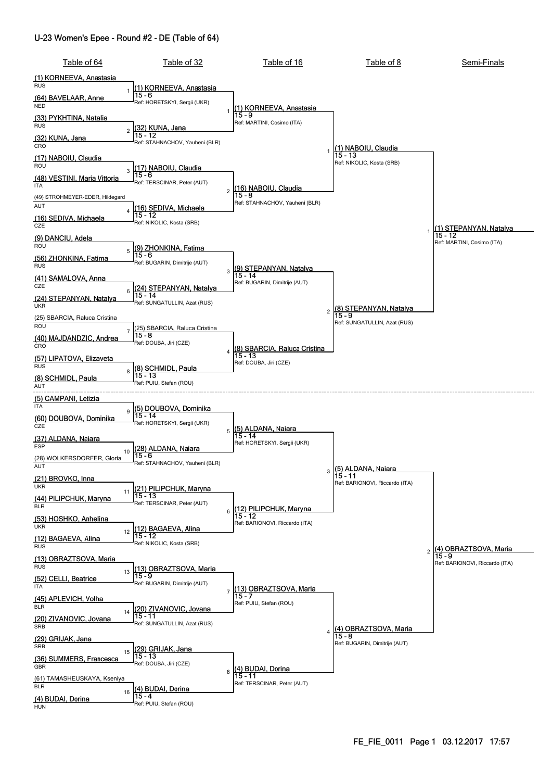#### U-23 Women's Epee - Round #2 - DE (Table of 64)

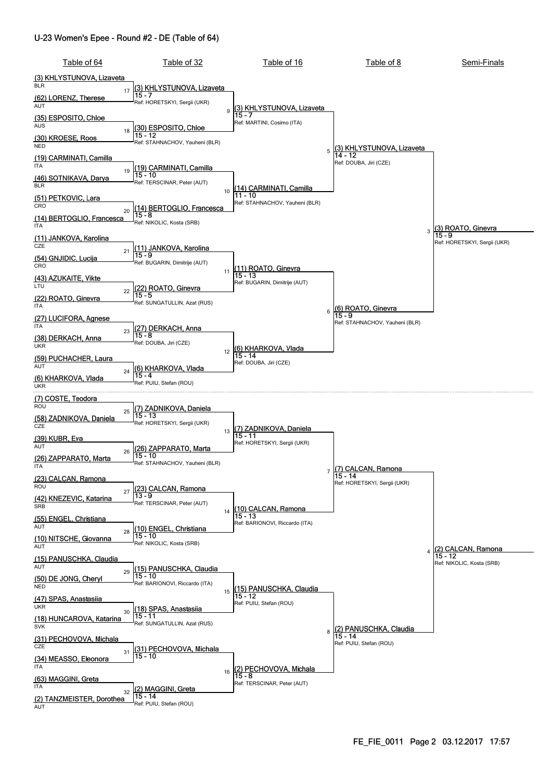#### U-23 Women's Epee - Round #2 - DE (Table of 64)

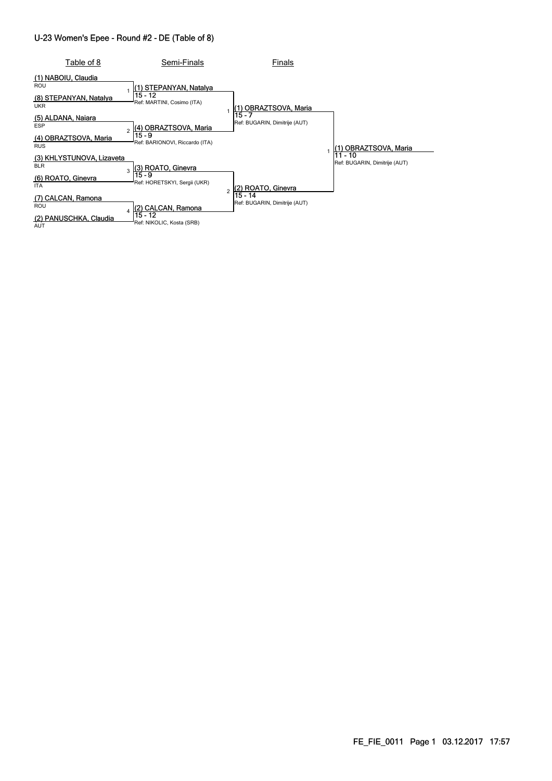### U-23 Women's Epee - Round #2 - DE (Table of 8)

| Table of 8                              | Semi-Finals                                | Finals                                   |                                       |
|-----------------------------------------|--------------------------------------------|------------------------------------------|---------------------------------------|
| (1) NABOIU, Claudia<br>ROU              | (1) STEPANYAN, Natalya                     |                                          |                                       |
| (8) STEPANYAN, Natalya<br><b>UKR</b>    | $15 - 12$<br>Ref: MARTINI, Cosimo (ITA)    | (1) OBRAZTSOVA, Maria                    |                                       |
| (5) ALDANA, Naiara<br><b>ESP</b>        | (4) OBRAZTSOVA, Maria                      | 15 - 7<br>Ref: BUGARIN, Dimitrije (AUT)  |                                       |
| (4) OBRAZTSOVA, Maria<br><b>RUS</b>     | $15 - 9$<br>Ref: BARIONOVI, Riccardo (ITA) |                                          | 1) OBRAZTSOVA, Maria                  |
| (3) KHLYSTUNOVA, Lizaveta<br><b>BLR</b> | (3) ROATO, Ginevra<br>3                    |                                          | - 10<br>Ref: BUGARIN, Dimitrije (AUT) |
| (6) ROATO, Ginevra<br><b>ITA</b>        | 15 - 9<br>Ref: HORETSKYI, Sergii (UKR)     | 2) ROATO, Ginevra                        |                                       |
| CALCAN, Ramona<br>ROU                   | (2) CALCAN, Ramona                         | 15 - 14<br>Ref: BUGARIN, Dimitrije (AUT) |                                       |
| (2) PANUSCHKA, Claudia<br><b>AUT</b>    | $15 - 12$<br>Ref: NIKOLIC, Kosta (SRB)     |                                          |                                       |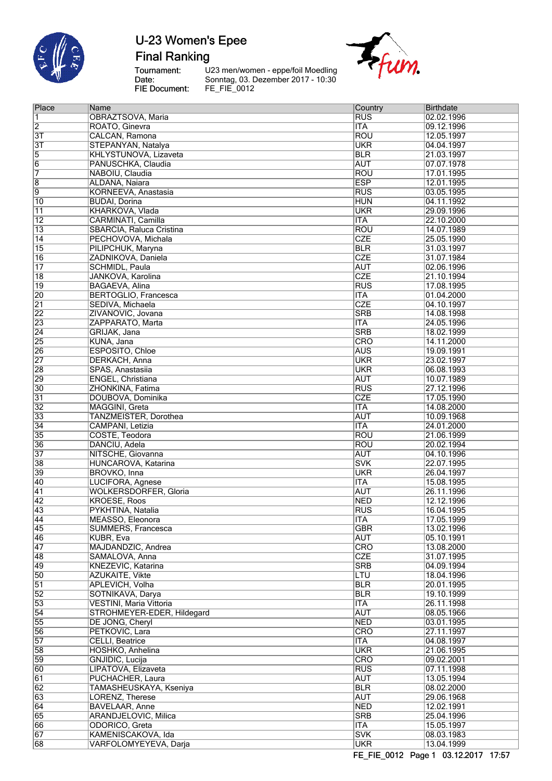

**Final Ranking** 

Tournament:<br>Date:<br>FIE Document:

U23 men/women - eppe/foil Moedling<br>Sonntag, 03. Dezember 2017 - 10:30<br>FE\_FIE\_0012



| Place                 | Name                                          | Country                   | <b>Birthdate</b>         |
|-----------------------|-----------------------------------------------|---------------------------|--------------------------|
| $\vert$ 1             | OBRAZTSOVA, Maria                             | <b>RUS</b>                | 02.02.1996               |
| $\overline{2}$        | ROATO, Ginevra                                | <b>ITA</b>                | 09.12.1996               |
| $\overline{3T}$       | CALCAN, Ramona                                | <b>ROU</b>                | 12.05.1997               |
| $\overline{3T}$       | STEPANYAN, Natalya                            | <b>UKR</b>                | 04.04.1997               |
| $\overline{5}$        | KHLYSTUNOVA, Lizaveta                         | <b>BLR</b>                | 21.03.1997               |
| $\overline{6}$        | PANUSCHKA, Claudia                            | <b>AUT</b>                | 07.07.1978               |
| 7                     | NABOIU, Claudia                               | <b>ROU</b>                | 17.01.1995               |
| $\overline{8}$        | ALDANA, Naiara                                | <b>ESP</b>                | 12.01.1995               |
| $\overline{9}$        | KORNEEVA, Anastasia                           | <b>RUS</b>                | 03.05.1995               |
| 10                    | <b>BUDAI</b> , Dorina                         | <b>HUN</b>                | 04.11.1992               |
| $\overline{11}$       | KHARKOVA, Vlada                               | <b>UKR</b>                | 29.09.1996               |
| $\overline{12}$       | CARMINATI, Camilla                            | $\overline{\mathsf{ITA}}$ | 22.10.2000               |
| $\overline{13}$       | <b>SBARCIA, Raluca Cristina</b>               | <b>ROU</b><br><b>CZE</b>  | 14.07.1989               |
| $\overline{14}$<br>15 | PECHOVOVA, Michala<br>PILIPCHUK, Maryna       | <b>BLR</b>                | 25.05.1990<br>31.03.1997 |
| 16                    | ZADNIKOVA, Daniela                            | <b>CZE</b>                | 31.07.1984               |
| $\overline{17}$       | <b>SCHMIDL, Paula</b>                         | <b>AUT</b>                | 02.06.1996               |
| 18                    | JANKOVA, Karolina                             | <b>CZE</b>                | 21.10.1994               |
| $ 19\rangle$          | BAGAEVA, Alina                                | <b>RUS</b>                | 17.08.1995               |
| 20                    | <b>BERTOGLIO, Francesca</b>                   | <b>ITA</b>                | 01.04.2000               |
| $\overline{21}$       | SEDIVA, Michaela                              | <b>CZE</b>                | 04.10.1997               |
| $\overline{22}$       | ZIVANOVIC, Jovana                             | <b>SRB</b>                | 14.08.1998               |
| $\overline{23}$       | ZAPPARATO, Marta                              | <b>ITA</b>                | 24.05.1996               |
| $\overline{24}$       | GRIJAK, Jana                                  | <b>SRB</b>                | 18.02.1999               |
| $\overline{25}$       | KUNA, Jana                                    | <b>CRO</b>                | 14.11.2000               |
| 26                    | ESPOSITO, Chloe                               | <b>AUS</b>                | 19.09.1991               |
| $\overline{27}$       | DERKACH, Anna                                 | <b>UKR</b>                | 23.02.1997               |
| $\overline{28}$       | SPAS. Anastasija                              | <b>UKR</b>                | 06.08.1993               |
| 29                    | ENGEL, Christiana                             | <b>AUT</b>                | 10.07.1989               |
| 30                    | ZHONKINA, Fatima                              | <b>RUS</b>                | 27.12.1996               |
| $\overline{31}$       | DOUBOVA, Dominika                             | <b>CZE</b>                | 17.05.1990               |
| $\overline{32}$       | MAGGINI, Greta                                | <b>ITA</b>                | 14.08.2000               |
| 33                    | TANZMEISTER, Dorothea                         | <b>AUT</b>                | 10.09.1968               |
| $\overline{34}$       | CAMPANI, Letizia                              | <b>ITA</b>                | 24.01.2000               |
| 35<br>36              | COSTE, Teodora                                | <b>ROU</b>                | 21.06.1999               |
| $\overline{37}$       | DANCIU, Adela<br>NITSCHE, Giovanna            | <b>ROU</b><br><b>AUT</b>  | 20.02.1994<br>04.10.1996 |
| 38                    | HUNCAROVA, Katarina                           | <b>SVK</b>                | 22.07.1995               |
| 39                    | BROVKO, Inna                                  | <b>UKR</b>                | 26.04.1997               |
| 40                    | LUCIFORA, Agnese                              | <b>ITA</b>                | 15.08.1995               |
| 41                    | <b>WOLKERSDORFER, Gloria</b>                  | <b>AUT</b>                | 26.11.1996               |
| $\overline{42}$       | <b>KROESE, Roos</b>                           | <b>NED</b>                | 12.12.1996               |
| 43                    | PYKHTINA, Natalia                             | RUS                       | 16.04.1995               |
| 44                    | MEASSO, Eleonora                              | ITA                       | 17.05.1999               |
| 45                    | SUMMERS, Francesca                            | <b>GBR</b>                | 13.02.1996               |
| 46                    | KUBR, Eva                                     | <b>AUT</b>                | 05.10.1991               |
| $\overline{47}$       | MAJDANDZIC, Andrea                            | <b>CRO</b>                | 13.08.2000               |
| 48                    | SAMALOVA, Anna                                | <b>CZE</b>                | 31.07.1995               |
| 49                    | KNEZEVIC, Katarina                            | <b>SRB</b>                | 04.09.1994               |
| 50                    | <b>AZUKAITE, Vikte</b>                        | <b>LTU</b>                | 18.04.1996               |
| $\overline{51}$       | APLEVICH, Volha                               | <b>BLR</b>                | 20.01.1995               |
| $\overline{52}$       | SOTNIKAVA, Darya                              | <b>BLR</b>                | 19.10.1999               |
| 53                    | <b>VESTINI, Maria Vittoria</b>                | <b>ITA</b>                | 26.11.1998               |
| $\overline{54}$<br>55 | STROHMEYER-EDER, Hildegard<br>DE JONG, Cheryl | <b>AUT</b><br><b>NED</b>  | 08.05.1966<br>03.01.1995 |
| 56                    | PETKOVIC, Lara                                | <b>CRO</b>                | 27.11.1997               |
| $\overline{57}$       | CELLI, Beatrice                               | <b>ITA</b>                | 04.08.1997               |
| 58                    | HOSHKO, Anhelina                              | <b>UKR</b>                | 21.06.1995               |
| 59                    | GNJIDIC, Lucija                               | <b>CRO</b>                | 09.02.2001               |
| 60                    | LIPATOVA, Elizaveta                           | <b>RUS</b>                | 07.11.1998               |
| 61                    | PUCHACHER, Laura                              | <b>AUT</b>                | 13.05.1994               |
| $\overline{62}$       | TAMASHEUSKAYA, Kseniya                        | <b>BLR</b>                | 08.02.2000               |
| 63                    | LORENZ, Therese                               | AUT                       | 29.06.1968               |
| 64                    | <b>BAVELAAR, Anne</b>                         | <b>NED</b>                | 12.02.1991               |
| 65                    | <b>ARANDJELOVIC, Milica</b>                   | <b>SRB</b>                | 25.04.1996               |
| 66                    | ODORICO, Greta                                | <b>ITA</b>                | 15.05.1997               |
| 67                    | KAMENISCAKOVA, Ida                            | <b>SVK</b>                | 08.03.1983               |
| 68                    | VARFOLOMYEYEVA, Darja                         | <b>UKR</b>                | 13.04.1999               |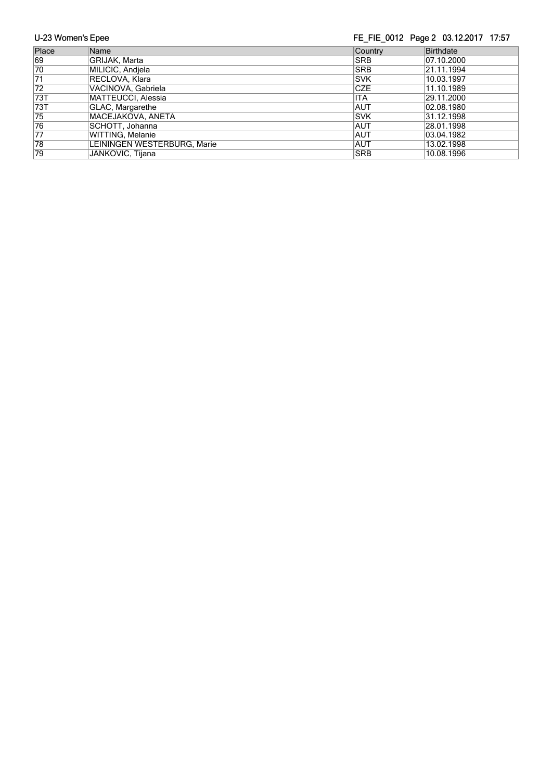| U-23 Women's Epee |                             | FE FIE 0012 Page 2 03.12.2017 17:57 |             |  |  |  |  |  |
|-------------------|-----------------------------|-------------------------------------|-------------|--|--|--|--|--|
| Place             | Name                        | Country                             | Birthdate   |  |  |  |  |  |
| 69                | GRIJAK, Marta               | <b>SRB</b>                          | 07.10.2000  |  |  |  |  |  |
| 70                | MILICIC, Andiela            | <b>SRB</b>                          | 21.11.1994  |  |  |  |  |  |
| $\overline{71}$   | RECLOVA, Klara              | <b>SVK</b>                          | 10.03.1997  |  |  |  |  |  |
| $\overline{72}$   | VACINOVA, Gabriela          | ICZE                                | 11.10.1989  |  |  |  |  |  |
| 73T               | MATTEUCCI, Alessia          | <b>ITA</b>                          | 29.11.2000  |  |  |  |  |  |
| 73T               | GLAC, Margarethe            | <b>AUT</b>                          | 102.08.1980 |  |  |  |  |  |
| $\overline{75}$   | MACEJAKOVA, ANETA           | <b>ISVK</b>                         | 31.12.1998  |  |  |  |  |  |
| 76                | SCHOTT, Johanna             | <b>AUT</b>                          | 28.01.1998  |  |  |  |  |  |
| 77                | WITTING, Melanie            | IAUT                                | 103.04.1982 |  |  |  |  |  |
| 78                | LEININGEN WESTERBURG, Marie | IAUT                                | 13.02.1998  |  |  |  |  |  |
| 79                | JANKOVIC, Tijana            | <b>SRB</b>                          | 10.08.1996  |  |  |  |  |  |